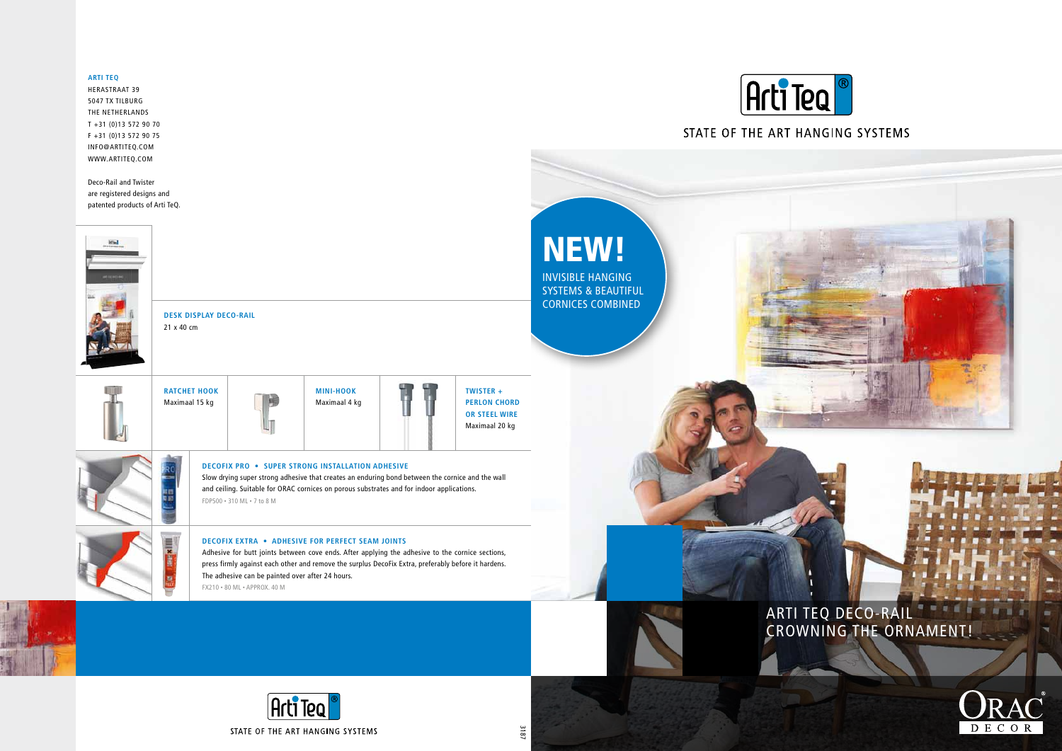NEW!

INVISIBLE HANGING SYSTEMS & BEAUTIFUL CORNICES COMBINED



# ARTI TEQ DECO-RA CROWNING THE ORNAMENT!



## **ARTI TEQ**

Herastraat 39 5047 TX Tilburg THE NETHERLANDS T +31 (0)13 572 90 70 F +31 (0)13 572 90 75 info@artiteq.COM WWW.artiteq.COM

Deco-Rail and Twister are registered designs and patented products of Arti TeQ.



**DecoFix Pro • SUPER STRONG INSTALLATION ADHESIVE**

Slow drying super strong adhesive that creates an enduring bond between the cornice and the wall and ceiling. Suitable for ORAC cornices on porous substrates and for indoor applications. FDP500 • 310 ML • 7 to 8 m





**MINI-HOOK** Maximaal 4 kg



### **DecoFix Extra • ADHESIVE FOR PERFECT SEAM JOINTS**

Adhesive for butt joints between cove ends. After applying the adhesive to the cornice sections, press firmly against each other and remove the surplus DecoFix Extra, preferably before it hardens. The adhesive can be painted over after 24 hours. FX210 • 80 ML • approx. 40 M







## STATE OF THE ART HANGING SYSTEMS



3187

**DESK DISPLAY DECO-RAIL** 21 x 40 cm